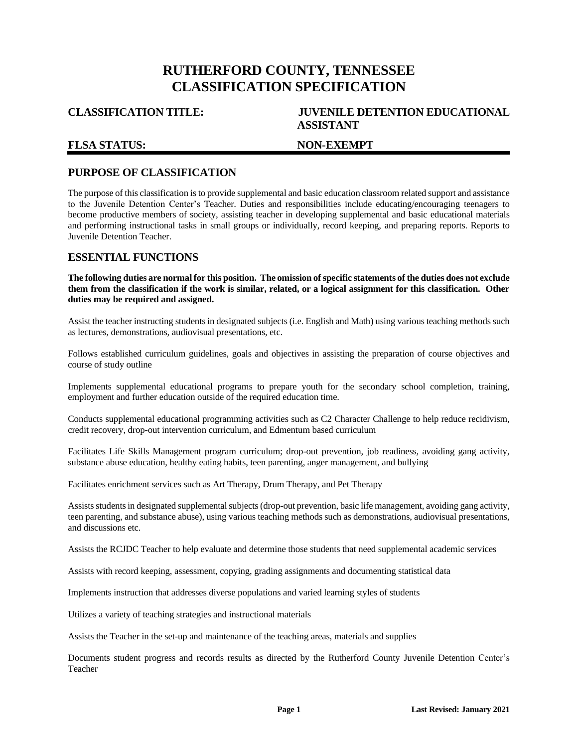# **RUTHERFORD COUNTY, TENNESSEE CLASSIFICATION SPECIFICATION**

## **FLSA STATUS: NON-EXEMPT**

## **CLASSIFICATION TITLE: JUVENILE DETENTION EDUCATIONAL ASSISTANT**

## **PURPOSE OF CLASSIFICATION**

The purpose of this classification is to provide supplemental and basic education classroom related support and assistance to the Juvenile Detention Center's Teacher. Duties and responsibilities include educating/encouraging teenagers to become productive members of society, assisting teacher in developing supplemental and basic educational materials and performing instructional tasks in small groups or individually, record keeping, and preparing reports. Reports to Juvenile Detention Teacher.

## **ESSENTIAL FUNCTIONS**

**The following duties are normal for this position. The omission of specific statements of the duties does not exclude them from the classification if the work is similar, related, or a logical assignment for this classification. Other duties may be required and assigned.**

Assist the teacher instructing students in designated subjects (i.e. English and Math) using various teaching methods such as lectures, demonstrations, audiovisual presentations, etc.

Follows established curriculum guidelines, goals and objectives in assisting the preparation of course objectives and course of study outline

Implements supplemental educational programs to prepare youth for the secondary school completion, training, employment and further education outside of the required education time.

Conducts supplemental educational programming activities such as C2 Character Challenge to help reduce recidivism, credit recovery, drop-out intervention curriculum, and Edmentum based curriculum

Facilitates Life Skills Management program curriculum; drop-out prevention, job readiness, avoiding gang activity, substance abuse education, healthy eating habits, teen parenting, anger management, and bullying

Facilitates enrichment services such as Art Therapy, Drum Therapy, and Pet Therapy

Assistsstudents in designated supplemental subjects (drop-out prevention, basic life management, avoiding gang activity, teen parenting, and substance abuse), using various teaching methods such as demonstrations, audiovisual presentations, and discussions etc.

Assists the RCJDC Teacher to help evaluate and determine those students that need supplemental academic services

Assists with record keeping, assessment, copying, grading assignments and documenting statistical data

Implements instruction that addresses diverse populations and varied learning styles of students

Utilizes a variety of teaching strategies and instructional materials

Assists the Teacher in the set-up and maintenance of the teaching areas, materials and supplies

Documents student progress and records results as directed by the Rutherford County Juvenile Detention Center's Teacher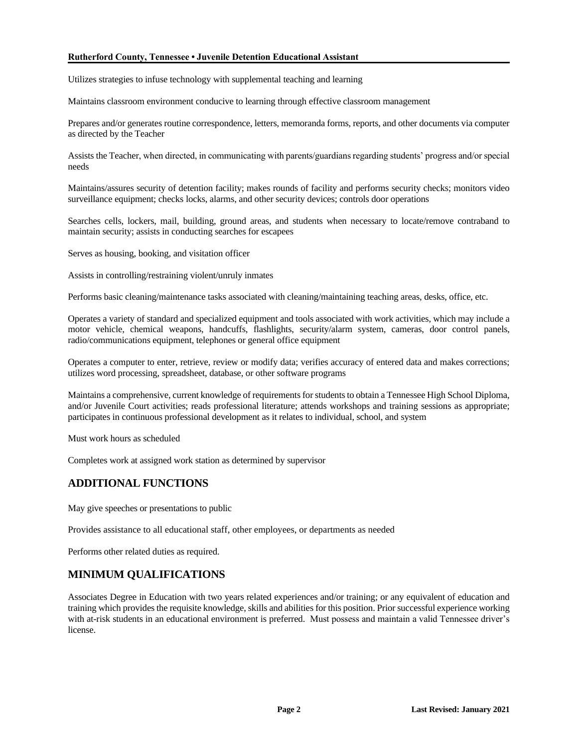#### **Rutherford County, Tennessee • Juvenile Detention Educational Assistant**

Utilizes strategies to infuse technology with supplemental teaching and learning

Maintains classroom environment conducive to learning through effective classroom management

Prepares and/or generates routine correspondence, letters, memoranda forms, reports, and other documents via computer as directed by the Teacher

Assists the Teacher, when directed, in communicating with parents/guardians regarding students' progress and/or special needs

Maintains/assures security of detention facility; makes rounds of facility and performs security checks; monitors video surveillance equipment; checks locks, alarms, and other security devices; controls door operations

Searches cells, lockers, mail, building, ground areas, and students when necessary to locate/remove contraband to maintain security; assists in conducting searches for escapees

Serves as housing, booking, and visitation officer

Assists in controlling/restraining violent/unruly inmates

Performs basic cleaning/maintenance tasks associated with cleaning/maintaining teaching areas, desks, office, etc.

Operates a variety of standard and specialized equipment and tools associated with work activities, which may include a motor vehicle, chemical weapons, handcuffs, flashlights, security/alarm system, cameras, door control panels, radio/communications equipment, telephones or general office equipment

Operates a computer to enter, retrieve, review or modify data; verifies accuracy of entered data and makes corrections; utilizes word processing, spreadsheet, database, or other software programs

Maintains a comprehensive, current knowledge of requirements for students to obtain a Tennessee High School Diploma, and/or Juvenile Court activities; reads professional literature; attends workshops and training sessions as appropriate; participates in continuous professional development as it relates to individual, school, and system

Must work hours as scheduled

Completes work at assigned work station as determined by supervisor

## **ADDITIONAL FUNCTIONS**

May give speeches or presentations to public

Provides assistance to all educational staff, other employees, or departments as needed

Performs other related duties as required.

## **MINIMUM QUALIFICATIONS**

Associates Degree in Education with two years related experiences and/or training; or any equivalent of education and training which provides the requisite knowledge, skills and abilities for this position. Prior successful experience working with at-risk students in an educational environment is preferred. Must possess and maintain a valid Tennessee driver's license.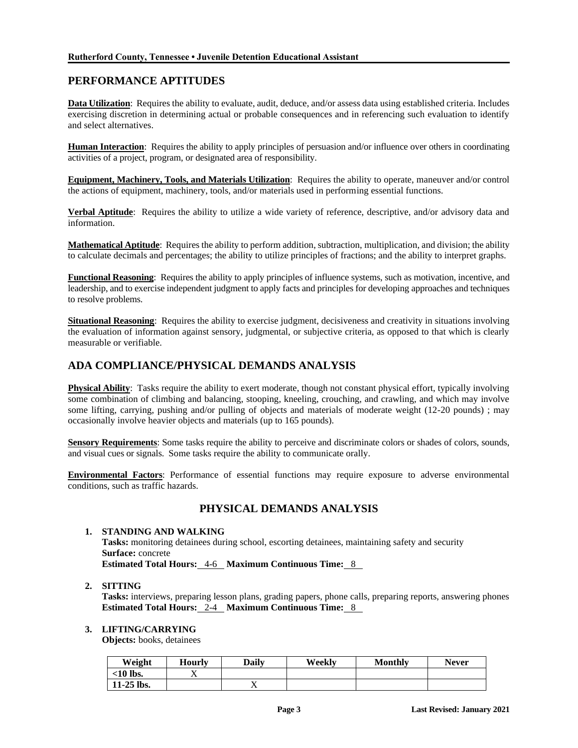## **PERFORMANCE APTITUDES**

**Data Utilization**: Requires the ability to evaluate, audit, deduce, and/or assess data using established criteria. Includes exercising discretion in determining actual or probable consequences and in referencing such evaluation to identify and select alternatives.

**Human Interaction**: Requires the ability to apply principles of persuasion and/or influence over others in coordinating activities of a project, program, or designated area of responsibility.

**Equipment, Machinery, Tools, and Materials Utilization**: Requires the ability to operate, maneuver and/or control the actions of equipment, machinery, tools, and/or materials used in performing essential functions.

**Verbal Aptitude**: Requires the ability to utilize a wide variety of reference, descriptive, and/or advisory data and information.

**Mathematical Aptitude**: Requires the ability to perform addition, subtraction, multiplication, and division; the ability to calculate decimals and percentages; the ability to utilize principles of fractions; and the ability to interpret graphs.

**Functional Reasoning**: Requires the ability to apply principles of influence systems, such as motivation, incentive, and leadership, and to exercise independent judgment to apply facts and principles for developing approaches and techniques to resolve problems.

**Situational Reasoning**: Requires the ability to exercise judgment, decisiveness and creativity in situations involving the evaluation of information against sensory, judgmental, or subjective criteria, as opposed to that which is clearly measurable or verifiable.

## **ADA COMPLIANCE/PHYSICAL DEMANDS ANALYSIS**

**Physical Ability**: Tasks require the ability to exert moderate, though not constant physical effort, typically involving some combination of climbing and balancing, stooping, kneeling, crouching, and crawling, and which may involve some lifting, carrying, pushing and/or pulling of objects and materials of moderate weight (12-20 pounds); may occasionally involve heavier objects and materials (up to 165 pounds).

**Sensory Requirements**: Some tasks require the ability to perceive and discriminate colors or shades of colors, sounds, and visual cues or signals. Some tasks require the ability to communicate orally.

**Environmental Factors**: Performance of essential functions may require exposure to adverse environmental conditions, such as traffic hazards.

## **PHYSICAL DEMANDS ANALYSIS**

#### **1. STANDING AND WALKING**

**Tasks:** monitoring detainees during school, escorting detainees, maintaining safety and security **Surface:** concrete

**Estimated Total Hours:** 4-6 **Maximum Continuous Time:** 8

#### **2. SITTING**

**Tasks:** interviews, preparing lesson plans, grading papers, phone calls, preparing reports, answering phones **Estimated Total Hours:** 2-4 **Maximum Continuous Time:** 8

### **3. LIFTING/CARRYING**

**Objects:** books, detainees

| Weight       | Hourlv | Dailv | Weekly | Monthlv | <b>Never</b> |
|--------------|--------|-------|--------|---------|--------------|
| $<$ 10 lbs.  |        |       |        |         |              |
| $11-25$ lbs. |        |       |        |         |              |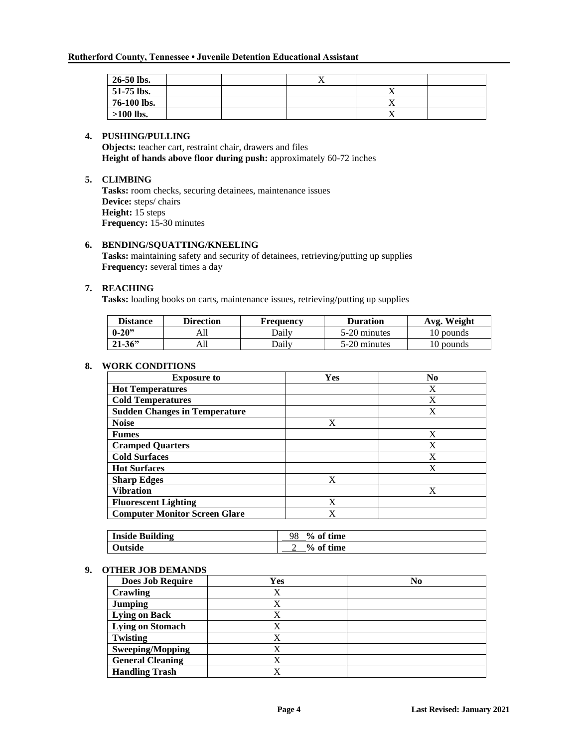| $26-50$ lbs. |  | ∡⊾ |           |  |
|--------------|--|----|-----------|--|
| 51-75 lbs.   |  |    | $\lambda$ |  |
| 76-100 lbs.  |  |    | 4X        |  |
| $>100$ lbs.  |  |    | ∡         |  |

#### **4. PUSHING/PULLING**

**Objects:** teacher cart, restraint chair, drawers and files **Height of hands above floor during push:** approximately 60-72 inches

#### **5. CLIMBING**

**Tasks:** room checks, securing detainees, maintenance issues **Device:** steps/ chairs **Height:** 15 steps **Frequency:** 15-30 minutes

### **6. BENDING/SQUATTING/KNEELING**

**Tasks:** maintaining safety and security of detainees, retrieving/putting up supplies **Frequency:** several times a day

### **7. REACHING**

**Tasks:** loading books on carts, maintenance issues, retrieving/putting up supplies

| <b>Distance</b> | <b>Direction</b> | Frequency    | <b>Duration</b> | Avg. Weight |
|-----------------|------------------|--------------|-----------------|-------------|
| $0 - 20$        | All              | <b>Daily</b> | 5-20 minutes    | 10 pounds   |
| $21 - 36$       | A11              | Dailv        | 5-20 minutes    | 10 pounds   |

#### **8. WORK CONDITIONS**

| <b>Exposure to</b>                   | <b>Yes</b> | N <sub>0</sub> |
|--------------------------------------|------------|----------------|
| <b>Hot Temperatures</b>              |            | X              |
| <b>Cold Temperatures</b>             |            | X              |
| <b>Sudden Changes in Temperature</b> |            | X              |
| <b>Noise</b>                         | X          |                |
| <b>Fumes</b>                         |            | X              |
| <b>Cramped Quarters</b>              |            | X              |
| <b>Cold Surfaces</b>                 |            | X              |
| <b>Hot Surfaces</b>                  |            | X              |
| <b>Sharp Edges</b>                   | X          |                |
| <b>Vibration</b>                     |            | X              |
| <b>Fluorescent Lighting</b>          | X          |                |
| <b>Computer Monitor Screen Glare</b> | X          |                |

| <b>Inside Building</b> | 98<br>% of time |
|------------------------|-----------------|
| Outside                | % of time       |

#### **9. OTHER JOB DEMANDS**

| <b>Does Job Require</b> | Yes | N <sub>0</sub> |
|-------------------------|-----|----------------|
| Crawling                |     |                |
| <b>Jumping</b>          |     |                |
| <b>Lying on Back</b>    |     |                |
| <b>Lying on Stomach</b> |     |                |
| Twisting                |     |                |
| <b>Sweeping/Mopping</b> |     |                |
| <b>General Cleaning</b> |     |                |
| <b>Handling Trash</b>   |     |                |